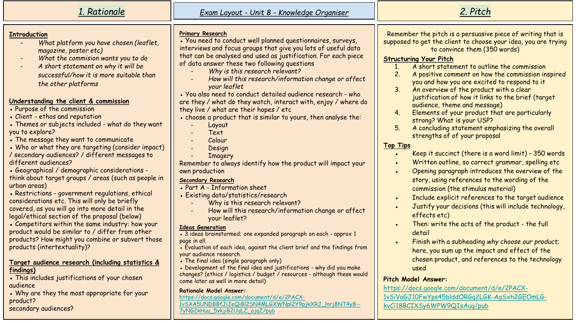| 1. Rationale                                                                                                                                                                                                                                                                                                                                                                                                                                                                                                                                                                                                                                                                                                                                                                                                                                                                                                                                                                                                                                 | Exam Layout - Unit 8 - Knowledge Organiser                                                                                                                                                                                                                                                                                                                                                                                                                                                                                                                                                                                                                                                                                                                                                                                                                                                                                                                                                                                                                                       | 2. Pitch                                                                                                                                                                                                                                                                                                                                                                                                                                                                                                                                                                                                                                                                                                                                                                                                                                                                                                                                                                                                                                                                                                                                                                                                             |
|----------------------------------------------------------------------------------------------------------------------------------------------------------------------------------------------------------------------------------------------------------------------------------------------------------------------------------------------------------------------------------------------------------------------------------------------------------------------------------------------------------------------------------------------------------------------------------------------------------------------------------------------------------------------------------------------------------------------------------------------------------------------------------------------------------------------------------------------------------------------------------------------------------------------------------------------------------------------------------------------------------------------------------------------|----------------------------------------------------------------------------------------------------------------------------------------------------------------------------------------------------------------------------------------------------------------------------------------------------------------------------------------------------------------------------------------------------------------------------------------------------------------------------------------------------------------------------------------------------------------------------------------------------------------------------------------------------------------------------------------------------------------------------------------------------------------------------------------------------------------------------------------------------------------------------------------------------------------------------------------------------------------------------------------------------------------------------------------------------------------------------------|----------------------------------------------------------------------------------------------------------------------------------------------------------------------------------------------------------------------------------------------------------------------------------------------------------------------------------------------------------------------------------------------------------------------------------------------------------------------------------------------------------------------------------------------------------------------------------------------------------------------------------------------------------------------------------------------------------------------------------------------------------------------------------------------------------------------------------------------------------------------------------------------------------------------------------------------------------------------------------------------------------------------------------------------------------------------------------------------------------------------------------------------------------------------------------------------------------------------|
| <b>Introduction</b><br>What platform you have chosen (leaflet,<br>magazine, poster etc)<br>What the commision wants you to do<br>A short statement on why it will be<br>successful/how it is more suitable than<br>the other platforms<br>Understanding the client & commission<br>• Purpose of the commission<br>• Client - ethos and reputation<br>• Themes or subjects included - what do they want<br>you to explore?<br>• The message they want to communicate<br>• Who or what they are targeting (consider impact)<br>/ secondary audiences? / different messages to<br>different audiences?<br>• Geographical / demographic considerations -<br>think about target groups / areas (such as people in<br>urban areas)<br>• Restrictions - government regulations, ethical<br>considerations etc. This will only be briefly<br>covered, as you will go into more detail in the<br>legal/ethical section of the proposal (below)<br>• Competitors within the same industry: how your<br>product would be similar to / differ from other | <b>Primary Research</b><br>• You need to conduct well planned questionnaires, surveys,<br>interviews and focus groups that give you lots of useful data<br>that can be analysed and used as justification. For each piece<br>of data answer these two following questions<br>Why is this research relevant?<br>How will this research/information change or affect<br>your leaflet<br>• You also need to conduct detailed audience research - who<br>are they / what do they watch, interact with, enjoy / where do<br>they live / what are their hopes / etc<br>. choose a product that is similar to yours, then analyse the:<br>Layout<br>Text<br>Colour<br>Design<br><b>Imagery</b><br>Remember to always identify how the product will impact your<br>own production<br>Secondary Research<br>• Part A - Information sheet<br>• Existing data/statistics/research<br>Why is this research relevant?<br>How will this research/information change or affect<br>your leaflet?<br><b>Ideas Generation</b><br>• 3 ideas brainstormed; one expanded paragraph on each - approx 1 | Remember the pitch is a persuasive piece of writing that is<br>supposed to get the client to choose your idea, you are trying<br>to convince them (350 words)<br><b>Structuring Your Pitch</b><br>A short statement to outline the commission<br>$1_{\cdot}$<br>2.<br>A positive comment on how the commission inspired<br>you and how you are excited to respond to it<br>3 <sub>1</sub><br>An overview of the product with a clear<br>justification of how it links to the brief (target<br>audience, theme and message)<br>4.<br>Elements of your product that are particularly<br>strong? What is your USP?<br>5 <sub>1</sub><br>A concluding statement emphasizing the overall<br>strengths of of your proposal<br><b>Top Tips</b><br>Keep it succinct (there is a word limit) - 350 words<br>$\bullet$<br>Written outline, so correct grammar, spelling etc<br>Opening paragraph introduces the overview of the<br>story, using references to the wording of the<br>commission (the stimulus material)<br>Include explicit references to the target audience<br>$\bullet$<br>Justify your decisions (this will include technology,<br>effects etc)<br>Then: write the acts of the product - the full<br>detail |
| products? How might you combine or subvert those<br>products (intertextuality)?<br>Target audience research (including statistics &                                                                                                                                                                                                                                                                                                                                                                                                                                                                                                                                                                                                                                                                                                                                                                                                                                                                                                          | page in all.<br>• Evaluation of each idea, against the client brief and the findings from<br>your audience research.<br>. The final idea (single paragraph only)                                                                                                                                                                                                                                                                                                                                                                                                                                                                                                                                                                                                                                                                                                                                                                                                                                                                                                                 | Finish with a subheading why choose our product;<br>$\bullet$<br>here, you sum up the impact and effect of the<br>chosen product, and references to the technology                                                                                                                                                                                                                                                                                                                                                                                                                                                                                                                                                                                                                                                                                                                                                                                                                                                                                                                                                                                                                                                   |
| findings)<br>• This includes justifications of your chosen<br>audience                                                                                                                                                                                                                                                                                                                                                                                                                                                                                                                                                                                                                                                                                                                                                                                                                                                                                                                                                                       | . Development of the final idea and justifications - why did you make<br>changes? (ethics / logistics / budget / resources - although these would<br>come later as well in more detail)                                                                                                                                                                                                                                                                                                                                                                                                                                                                                                                                                                                                                                                                                                                                                                                                                                                                                          | used<br><b>Pitch Model Answer:</b>                                                                                                                                                                                                                                                                                                                                                                                                                                                                                                                                                                                                                                                                                                                                                                                                                                                                                                                                                                                                                                                                                                                                                                                   |
| . Why are they the most appropriate for your<br>product?<br>secondary audiences?                                                                                                                                                                                                                                                                                                                                                                                                                                                                                                                                                                                                                                                                                                                                                                                                                                                                                                                                                             | <b>Rationale Model Answer:</b><br>https://docs.google.com/document/d/e/2PACX-<br>1vSAA5UNDBBfJiJeQiBl2SN4MLGXWNpl2Y9pjkXRJ_Inrj8NT4y8--<br>7yNG2kHuu_5vkjiB2UuLZ_ojqZ/pub                                                                                                                                                                                                                                                                                                                                                                                                                                                                                                                                                                                                                                                                                                                                                                                                                                                                                                        | https://docs.google.com/document/d/e/2PACX-<br>1vSiVaGJ10FwYps45blddORGq2LGK-AgSxh2GEOmLG-<br>kvCi18BCIXSy6WPW9QIsAug/pub                                                                                                                                                                                                                                                                                                                                                                                                                                                                                                                                                                                                                                                                                                                                                                                                                                                                                                                                                                                                                                                                                            |